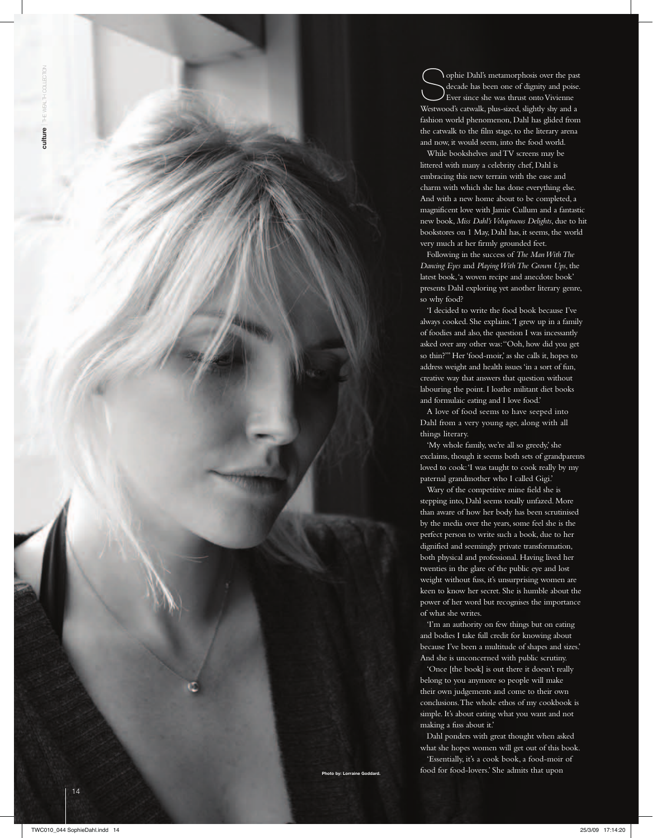14

Sophie Dahl's metamorphosis over the past decade has been one of dignity and poise. Ever since she was thrust onto Vivienne Westwood's catwalk, plus-sized, slightly shy and a fashion world phenomenon, Dahl has glided from the catwalk to the film stage, to the literary arena and now, it would seem, into the food world.

While bookshelves and TV screens may be littered with many a celebrity chef, Dahl is embracing this new terrain with the ease and charm with which she has done everything else. And with a new home about to be completed, a magnificent love with Jamie Cullum and a fantastic new book, *Miss Dahl's Voluptuous Delights*, due to hit bookstores on 1 May, Dahl has, it seems, the world very much at her firmly grounded feet.

Following in the success of *The Man With The Dancing Eyes* and *Playing With The Grown Ups*, the latest book, 'a woven recipe and anecdote book' presents Dahl exploring yet another literary genre, so why food?

'I decided to write the food book because I've always cooked. She explains. 'I grew up in a family of foodies and also, the question I was incessantly asked over any other was: "Ooh, how did you get so thin?''' Her 'food-moir,' as she calls it, hopes to address weight and health issues 'in a sort of fun, creative way that answers that question without labouring the point. I loathe militant diet books and formulaic eating and I love food.'

A love of food seems to have seeped into Dahl from a very young age, along with all things literary.

'My whole family, we're all so greedy,' she exclaims, though it seems both sets of grandparents loved to cook: 'I was taught to cook really by my paternal grandmother who I called Gigi.'

Wary of the competitive mine field she is stepping into, Dahl seems totally unfazed. More than aware of how her body has been scrutinised by the media over the years, some feel she is the perfect person to write such a book, due to her dignified and seemingly private transformation, both physical and professional. Having lived her twenties in the glare of the public eye and lost weight without fuss, it's unsurprising women are keen to know her secret. She is humble about the power of her word but recognises the importance of what she writes.

'I'm an authority on few things but on eating and bodies I take full credit for knowing about because I've been a multitude of shapes and sizes.' And she is unconcerned with public scrutiny.

'Once [the book] is out there it doesn't really belong to you anymore so people will make their own judgements and come to their own conclusions. The whole ethos of my cookbook is simple. It's about eating what you want and not making a fuss about it.'

Dahl ponders with great thought when asked what she hopes women will get out of this book.

'Essentially, it's a cook book, a food-moir of to by: Lorraine Goddard. **Example 2** food for food-lovers.' She admits that upon